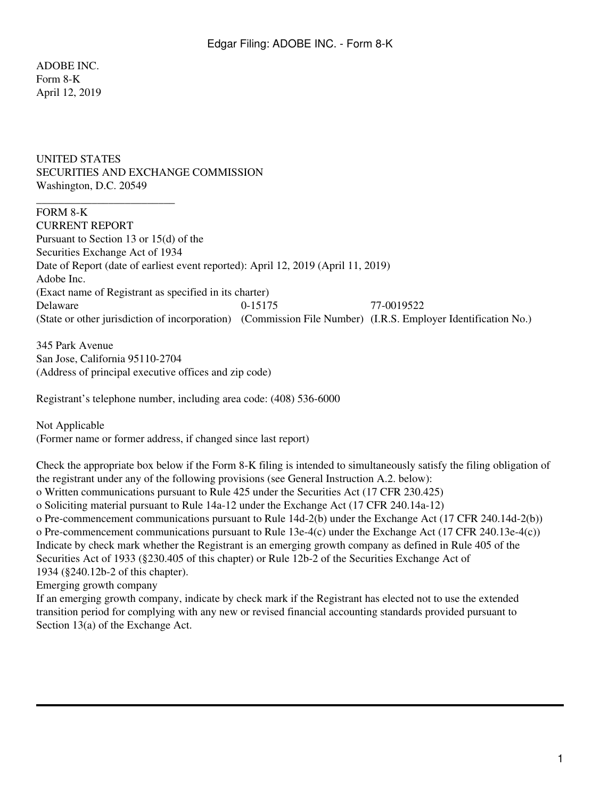ADOBE INC. Form 8-K April 12, 2019

## UNITED STATES SECURITIES AND EXCHANGE COMMISSION Washington, D.C. 20549

## FORM 8-K CURRENT REPORT

\_\_\_\_\_\_\_\_\_\_\_\_\_\_\_\_\_\_\_\_\_\_\_\_\_

Pursuant to Section 13 or 15(d) of the Securities Exchange Act of 1934 Date of Report (date of earliest event reported): April 12, 2019 (April 11, 2019) Adobe Inc. (Exact name of Registrant as specified in its charter) Delaware 0-15175 77-0019522 (State or other jurisdiction of incorporation) (Commission File Number) (I.R.S. Employer Identification No.)

345 Park Avenue San Jose, California 95110-2704 (Address of principal executive offices and zip code)

Registrant's telephone number, including area code: (408) 536-6000

Not Applicable (Former name or former address, if changed since last report)

Check the appropriate box below if the Form 8-K filing is intended to simultaneously satisfy the filing obligation of the registrant under any of the following provisions (see General Instruction A.2. below): o Written communications pursuant to Rule 425 under the Securities Act (17 CFR 230.425) o Soliciting material pursuant to Rule 14a-12 under the Exchange Act (17 CFR 240.14a-12) o Pre-commencement communications pursuant to Rule 14d-2(b) under the Exchange Act (17 CFR 240.14d-2(b)) o Pre-commencement communications pursuant to Rule 13e-4(c) under the Exchange Act (17 CFR 240.13e-4(c)) Indicate by check mark whether the Registrant is an emerging growth company as defined in Rule 405 of the Securities Act of 1933 (§230.405 of this chapter) or Rule 12b-2 of the Securities Exchange Act of 1934 (§240.12b-2 of this chapter). Emerging growth company

If an emerging growth company, indicate by check mark if the Registrant has elected not to use the extended transition period for complying with any new or revised financial accounting standards provided pursuant to Section  $13(a)$  of the Exchange Act.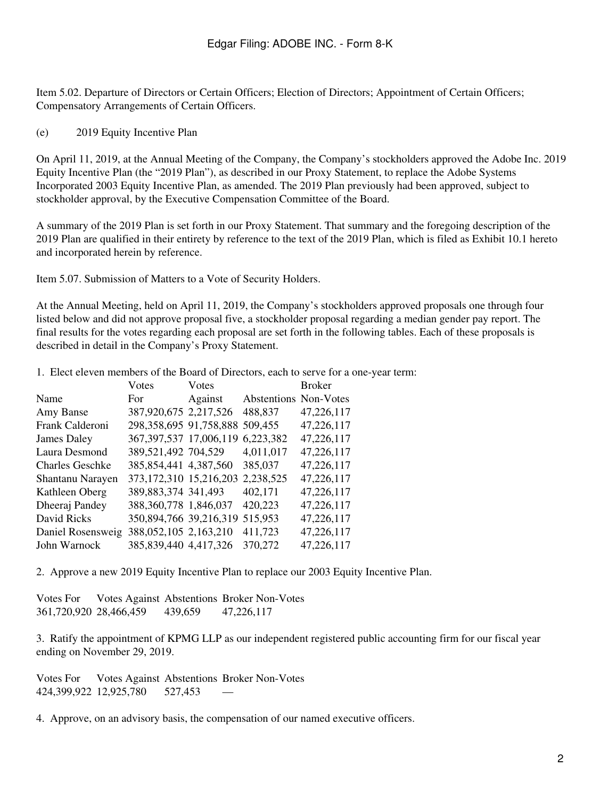Item 5.02. Departure of Directors or Certain Officers; Election of Directors; Appointment of Certain Officers; Compensatory Arrangements of Certain Officers.

## (e) 2019 Equity Incentive Plan

On April 11, 2019, at the Annual Meeting of the Company, the Company's stockholders approved the Adobe Inc. 2019 Equity Incentive Plan (the "2019 Plan"), as described in our Proxy Statement, to replace the Adobe Systems Incorporated 2003 Equity Incentive Plan, as amended. The 2019 Plan previously had been approved, subject to stockholder approval, by the Executive Compensation Committee of the Board.

A summary of the 2019 Plan is set forth in our Proxy Statement. That summary and the foregoing description of the 2019 Plan are qualified in their entirety by reference to the text of the 2019 Plan, which is filed as Exhibit 10.1 hereto and incorporated herein by reference.

Item 5.07. Submission of Matters to a Vote of Security Holders.

At the Annual Meeting, held on April 11, 2019, the Company's stockholders approved proposals one through four listed below and did not approve proposal five, a stockholder proposal regarding a median gender pay report. The final results for the votes regarding each proposal are set forth in the following tables. Each of these proposals is described in detail in the Company's Proxy Statement.

1. Elect eleven members of the Board of Directors, each to serve for a one-year term:

| Votes | Votes   |                                                                                                                                                                                                                                                                              | <b>Broker</b>                                                  |
|-------|---------|------------------------------------------------------------------------------------------------------------------------------------------------------------------------------------------------------------------------------------------------------------------------------|----------------------------------------------------------------|
| For.  | Against |                                                                                                                                                                                                                                                                              |                                                                |
|       |         | 488,837                                                                                                                                                                                                                                                                      | 47,226,117                                                     |
|       |         |                                                                                                                                                                                                                                                                              | 47,226,117                                                     |
|       |         | 6,223,382                                                                                                                                                                                                                                                                    | 47,226,117                                                     |
|       |         | 4,011,017                                                                                                                                                                                                                                                                    | 47,226,117                                                     |
|       |         | 385,037                                                                                                                                                                                                                                                                      | 47,226,117                                                     |
|       |         | 2,238,525                                                                                                                                                                                                                                                                    | 47,226,117                                                     |
|       |         | 402,171                                                                                                                                                                                                                                                                      | 47,226,117                                                     |
|       |         | 420,223                                                                                                                                                                                                                                                                      | 47,226,117                                                     |
|       |         | 515,953                                                                                                                                                                                                                                                                      | 47,226,117                                                     |
|       |         | 411,723                                                                                                                                                                                                                                                                      | 47,226,117                                                     |
|       |         | 370,272                                                                                                                                                                                                                                                                      | 47,226,117                                                     |
|       |         | 387,920,675 2,217,526<br>367, 397, 537 17, 006, 119<br>389,521,492 704,529<br>385, 854, 441 4, 387, 560<br>373, 172, 310 15, 216, 203<br>389, 883, 374 341, 493<br>388, 360, 778 1, 846, 037<br>350,894,766 39,216,319<br>388,052,105 2,163,210<br>385, 839, 440 4, 417, 326 | <b>Abstentions Non-Votes</b><br>298,358,695 91,758,888 509,455 |

2. Approve a new 2019 Equity Incentive Plan to replace our 2003 Equity Incentive Plan.

Votes For Votes Against Abstentions Broker Non-Votes 361,720,920 28,466,459 439,659 47,226,117

3. Ratify the appointment of KPMG LLP as our independent registered public accounting firm for our fiscal year ending on November 29, 2019.

Votes For Votes Against Abstentions Broker Non-Votes 424,399,922 12,925,780 527,453 —

4. Approve, on an advisory basis, the compensation of our named executive officers.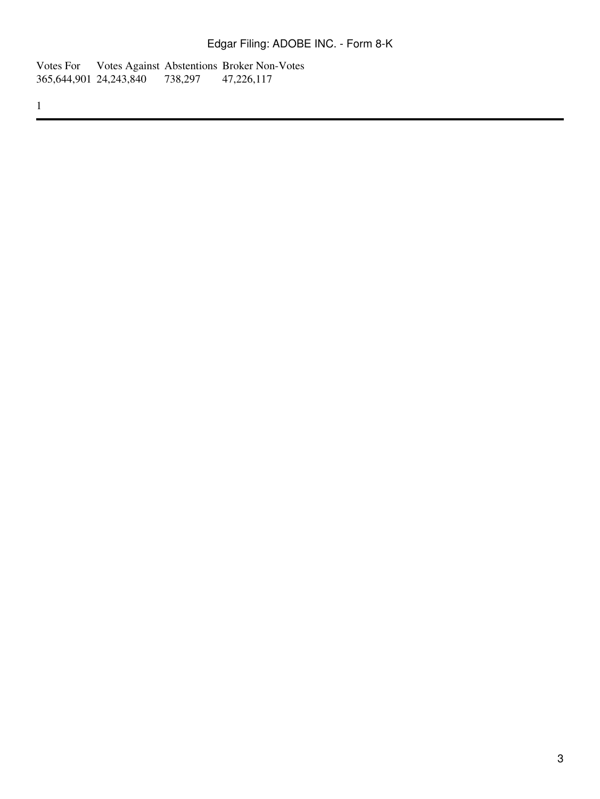Votes For Votes Against Abstentions Broker Non-Votes 365,644,901 24,243,840 738,297 47,226,117 365,644,901 24,243,840

1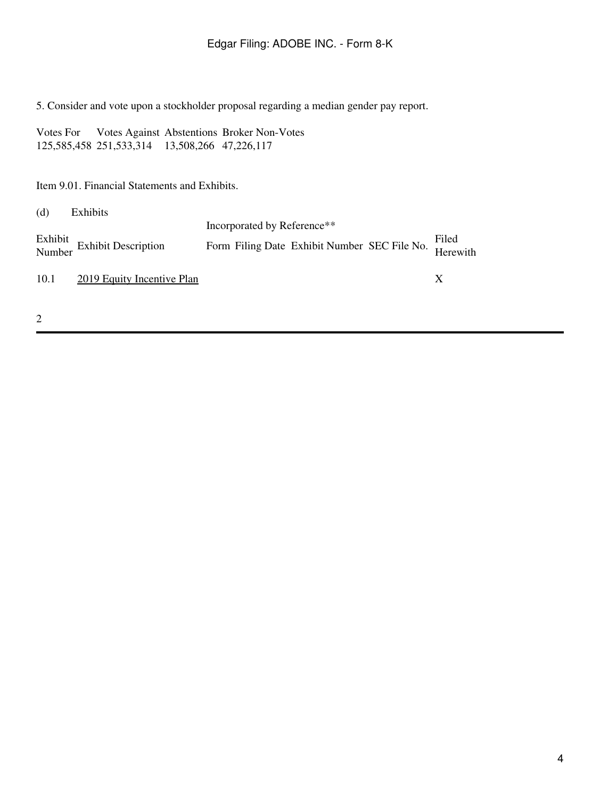5. Consider and vote upon a stockholder proposal regarding a median gender pay report.

Votes For Votes Against Abstentions Broker Non-Votes 125,585,458 251,533,314 13,508,266 47,226,117

Item 9.01. Financial Statements and Exhibits.

| (d)  | Exhibits                              |                                                                |  |   |
|------|---------------------------------------|----------------------------------------------------------------|--|---|
|      |                                       | Incorporated by Reference**                                    |  |   |
|      | Exhibit<br>Number Exhibit Description | Form Filing Date Exhibit Number SEC File No. Filed<br>Herewith |  |   |
| 10.1 | <b>2019 Equity Incentive Plan</b>     |                                                                |  | X |
|      |                                       |                                                                |  |   |

2